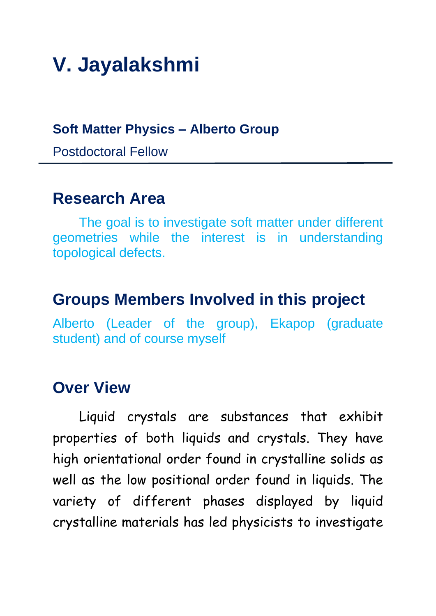# **V. Jayalakshmi**

#### **Soft Matter Physics – Alberto Group**

Postdoctoral Fellow

#### **Research Area**

The goal is to investigate soft matter under different geometries while the interest is in understanding topological defects.

## **Groups Members Involved in this project**

Alberto (Leader of the group), Ekapop (graduate student) and of course myself

### **Over View**

Liquid crystals are substances that exhibit properties of both liquids and crystals. They have high orientational order found in crystalline solids as well as the low positional order found in liquids. The variety of different phases displayed by liquid crystalline materials has led physicists to investigate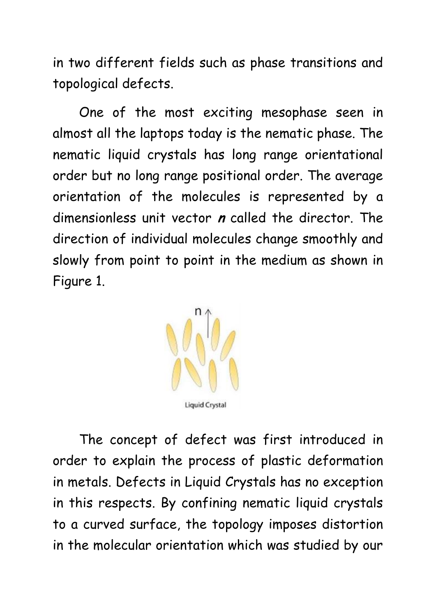in two different fields such as phase transitions and topological defects.

One of the most exciting mesophase seen in almost all the laptops today is the nematic phase. The nematic liquid crystals has long range orientational order but no long range positional order. The average orientation of the molecules is represented by a dimensionless unit vector **<sup>n</sup>** called the director. The direction of individual molecules change smoothly and slowly from point to point in the medium as shown in Figure 1.



The concept of defect was first introduced in order to explain the process of plastic deformation in metals. Defects in Liquid Crystals has no exception in this respects. By confining nematic liquid crystals to a curved surface, the topology imposes distortion in the molecular orientation which was studied by our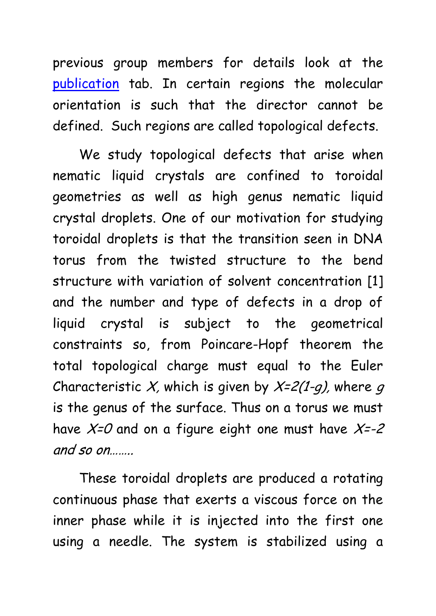previous group members for details look at the [publication](http://fernandezlab.gatech.edu/publications.html) tab. In certain regions the molecular orientation is such that the director cannot be defined. Such regions are called topological defects.

We study topological defects that arise when nematic liquid crystals are confined to toroidal geometries as well as high genus nematic liquid crystal droplets. One of our motivation for studying toroidal droplets is that the transition seen in DNA torus from the twisted structure to the bend structure with variation of solvent concentration [1] and the number and type of defects in a drop of liquid crystal is subject to the geometrical constraints so, from Poincare-Hopf theorem the total topological charge must equal to the Euler Characteristic X, which is given by  $X=2(1-q)$ , where q is the genus of the surface. Thus on a torus we must have  $X=0$  and on a figure eight one must have  $X=-2$ and so on……..

These toroidal droplets are produced a rotating continuous phase that exerts a viscous force on the inner phase while it is injected into the first one using a needle. The system is stabilized using a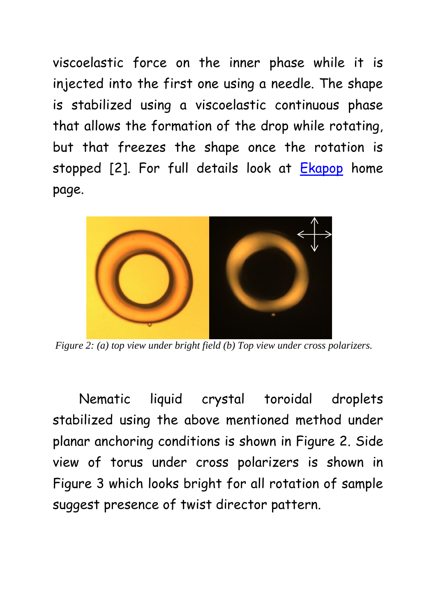viscoelastic force on the inner phase while it is injected into the first one using a needle. The shape is stabilized using a viscoelastic continuous phase that allows the formation of the drop while rotating, but that freezes the shape once the rotation is stopped [2]. For full details look at [Ekapop](http://fernandezlab.gatech.edu/research/Ekapop/Ekapop%202011%20Research.pdf) home page.



*Figure 2: (a) top view under bright field (b) Top view under cross polarizers.*

Nematic liquid crystal toroidal droplets stabilized using the above mentioned method under planar anchoring conditions is shown in Figure 2. Side view of torus under cross polarizers is shown in Figure 3 which looks bright for all rotation of sample suggest presence of twist director pattern.